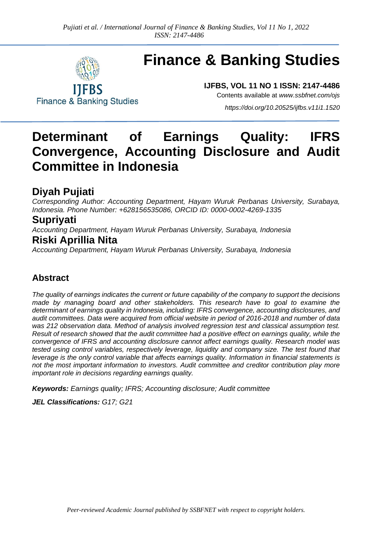

# **Finance & Banking Studies**

**IJFBS, VOL 11 NO 1 ISSN: 2147-4486** Contents available at *[www.ssbfnet.com/ojs](http://www.ssbfnet.com/ojs)*

**Finance & Banking Studies** 

*<https://doi.org/10.20525/ijfbs.v11i1.1520>*

## **Determinant of Earnings Quality: IFRS Convergence, Accounting Disclosure and Audit Committee in Indonesia**

### **Diyah Pujiati**

*Corresponding Author: Accounting Department, Hayam Wuruk Perbanas University, Surabaya, Indonesia. Phone Number: +628156535086, ORCID ID: 0000-0002-4269-1335*

### **Supriyati**

*Accounting Department, Hayam Wuruk Perbanas University, Surabaya, Indonesia*

### **Riski Aprillia Nita**

*Accounting Department, Hayam Wuruk Perbanas University, Surabaya, Indonesia*

### **Abstract**

*The quality of earnings indicates the current or future capability of the company to support the decisions made by managing board and other stakeholders. This research have to goal to examine the determinant of earnings quality in Indonesia, including: IFRS convergence, accounting disclosures, and audit committees. Data were acquired from official website in period of 2016-2018 and number of data was 212 observation data. Method of analysis involved regression test and classical assumption test. Result of research showed that the audit committee had a positive effect on earnings quality, while the convergence of IFRS and accounting disclosure cannot affect earnings quality. Research model was tested using control variables, respectively leverage, liquidity and company size. The test found that leverage is the only control variable that affects earnings quality. Information in financial statements is not the most important information to investors. Audit committee and creditor contribution play more important role in decisions regarding earnings quality.*

*Keywords: Earnings quality; IFRS; Accounting disclosure; Audit committee*

*JEL Classifications: G17; G21*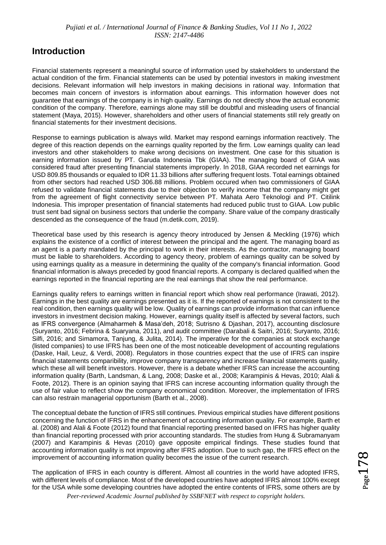### **Introduction**

Financial statements represent a meaningful source of information used by stakeholders to understand the actual condition of the firm. Financial statements can be used by potential investors in making investment decisions. Relevant information will help investors in making decisions in rational way. Information that becomes main concern of investors is information about earnings. This information however does not guarantee that earnings of the company is in high quality. Earnings do not directly show the actual economic condition of the company. Therefore, earnings alone may still be doubtful and misleading users of financial statement (Maya, 2015). However, shareholders and other users of financial statements still rely greatly on financial statements for their investment decisions.

Response to earnings publication is always wild. Market may respond earnings information reactively. The degree of this reaction depends on the earnings quality reported by the firm. Low earnings quality can lead investors and other stakeholders to make wrong decisions on investment. One case for this situation is earning information issued by PT. Garuda Indonesia Tbk (GIAA). The managing board of GIAA was considered fraud after presenting financial statements improperly. In 2018, GIAA recorded net earnings for USD 809.85 thousands or equaled to IDR 11.33 billions after suffering frequent losts. Total earnings obtained from other sectors had reached USD 306.88 millions. Problem occured when two commissioners of GIAA refused to validate financial statements due to their objection to verify income that the company might get from the agreement of flight connectivity service between PT. Mahata Aero Teknologi and PT. Citilink Indonesia. This improper presentation of financial statements had reduced public trust to GIAA. Low public trust sent bad signal on business sectors that underlie the company. Share value of the company drastically descended as the consequence of the fraud (m.detik.com, 2019).

Theoretical base used by this research is agency theory introduced by Jensen & Meckling (1976) which explains the existence of a conflict of interest between the principal and the agent. The managing board as an agent is a party mandated by the principal to work in their interests. As the contractor, managing board must be liable to shareholders. According to agency theory, problem of earnings quality can be solved by using earnings quality as a measure in determining the quality of the company's financial information. Good financial information is always preceded by good financial reports. A company is declared qualified when the earnings reported in the financial reporting are the real earnings that show the real performance.

Earnings quality refers to earnings written in financial report which show real performance (Irawati, 2012). Earnings in the best quality are earnings presented as it is. If the reported of earnings is not consistent to the real condition, then earnings quality will be low. Quality of earnings can provide information that can influence investors in investment decision making. However, earnings quality itself is affected by several factors, such as IFRS convergence (Almaharmeh & Masa'deh, 2018; Sutrisno & Djashan, 2017), accounting disclosure (Suryanto, 2016; Febrina & Suaryana, 2011), and audit committee (Darabali & Saitri, 2016; Suryanto, 2016; Silfi, 2016; and Simamora, Tanjung, & Julita, 2014). The imperative for the companies at stock exchange (listed companies) to use IFRS has been one of the most noticeable development of accounting regulations (Daske, Hail, Leuz, & Verdi, 2008). Regulators in those countries expect that the use of IFRS can inspire financial statements comparibility, improve company transparency and increase financial statements quality, which these all will benefit investors. However, there is a debate whether IFRS can increase the accounting information quality (Barth, Landsman, & Lang, 2008; Daske et al., 2008; Karampinis & Hevas, 2010; Alali & Foote, 2012). There is an opinion saying that IFRS can increse accounting information quality through the use of fair value to reflect show the company economical condition. Moreover, the implementation of IFRS can also restrain managerial opportunism (Barth et al., 2008).

The conceptual debate the function of IFRS still continues. Previous empirical studies have different positions concerning the function of IFRS in the enhancement of accounting information quality. For example, Barth et al. (2008) and Alali & Foote (2012) found that financial reporting presented based on IFRS has higher quality than financial reporting processed with prior accounting standards. The studies from Hung & Subramanyam (2007) and Karampinis & Hevas (2010) gave opposite empirical findings. These studies found that accounting information quality is not improving after IFRS adoption. Due to such gap, the IFRS effect on the improvement of accounting information quality becomes the issue of the current research.

*Peer-reviewed Academic Journal published by SSBFNET with respect to copyright holders.* The application of IFRS in each country is different. Almost all countries in the world have adopted IFRS, with different levels of compliance. Most of the developed countries have adopted IFRS almost 100% except for the USA while some developing countries have adopted the entire contents of IFRS, some others are by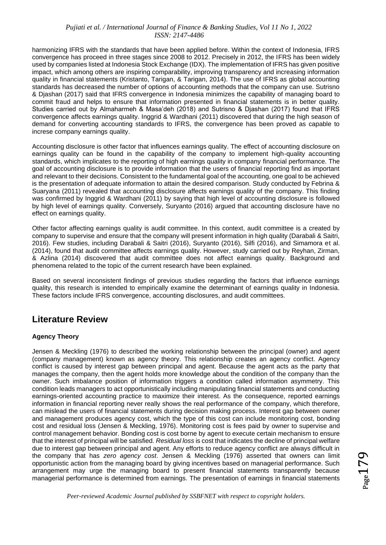harmonizing IFRS with the standards that have been applied before. Within the context of Indonesia, IFRS convergence has proceed in three stages since 2008 to 2012. Precisely in 2012, the IFRS has been widely used by companies listed at Indonesia Stock Exchange (IDX). The implementation of IFRS has given positive impact, which among others are inspiring comparability, improving transparency and increasing information quality in financial statements (Kristanto, Tarigan, & Tarigan, 2014). The use of IFRS as global accounting standards has decreased the number of options of accounting methods that the company can use. Sutrisno & Djashan (2017) said that IFRS convergence in Indonesia minimizes the capability of managing board to commit fraud and helps to ensure that information presented in financial statements is in better quality. Studies carried out by Almaharmeh & Masa'deh (2018) and Sutrisno & Djashan (2017) found that IFRS convergence affects earnings quality. Inggrid & Wardhani (2011) discovered that during the high season of demand for converting accounting standards to IFRS, the convergence has been proved as capable to increse company earnings quality.

Accounting disclosure is other factor that influences earnings quality. The effect of accounting disclosure on earnings quality can be found in the capability of the company to implement high-quality accounting standards, which implicates to the reporting of high earnings quality in company financial performance. The goal of accounting disclosure is to provide information that the users of financial reporting find as important and relevant to their decisions. Consistent to the fundamental goal of the accounting, one goal to be achieved is the presentation of adequate information to attain the desired comparison. Study conducted by Febrina & Suaryana (2011) revealed that accounting disclosure affects earnings quality of the company. This finding was confirmed by Inggrid & Wardhani (2011) by saying that high level of accounting disclosure is followed by high level of earnings quality. Conversely, Suryanto (2016) argued that accounting disclosure have no effect on earnings quality.

Other factor affecting earnings quality is audit committee. In this context, audit committee is a created by company to supervise and ensure that the company will present information in high quality (Darabali & Saitri, 2016). Few studies, including Darabali & Saitri (2016), Suryanto (2016), Silfi (2016), and Simamora et al. (2014), found that audit committee affects earnings quality. However, study carried out by Reyhan, Zirman, & Azlina (2014) discovered that audit committee does not affect earnings quality. Background and phenomena related to the topic of the current research have been explained.

Based on several inconsistent findings of previous studies regarding the factors that influence earnings quality, this research is intended to empirically examine the determinant of earnings quality in Indonesia. These factors include IFRS convergence, accounting disclosures, and audit committees.

### **Literature Review**

### **Agency Theory**

Jensen & Meckling (1976) to described the working relationship between the principal (owner) and agent (company management) known as agency theory. This relationship creates an agency conflict. Agency conflict is caused by interest gap between principal and agent. Because the agent acts as the party that manages the company, then the agent holds more knowledge about the condition of the company than the owner. Such imbalance position of information triggers a condition called information asymmetry. This condition leads managers to act opportunistically including manipulating financial statements and conducting earnings-oriented accounting practice to maximize their interest. As the consequence, reported earnings information in financial reporting never really shows the real performance of the company, which therefore, can mislead the users of financial statements during decision making process. Interest gap between owner and management produces agency cost, which the type of this cost can include monitoring cost, bonding cost and residual loss (Jensen & Meckling, 1976). Monitoring cost is fees paid by owner to supervise and control management behavior. Bonding cost is cost borne by agent to execute certain mechanism to ensure that the interest of principal will be satisfied. *Residual loss* is cost that indicates the decline of principal welfare due to interest gap between principal and agent. Any efforts to reduce agency conflict are always difficult in the company that has *zero agency cost*. Jensen & Meckling (1976) asserted that owners can limit opportunistic action from the managing board by giving incentives based on managerial performance. Such arrangement may urge the managing board to present financial statements transparently because managerial performance is determined from earnings. The presentation of earnings in financial statements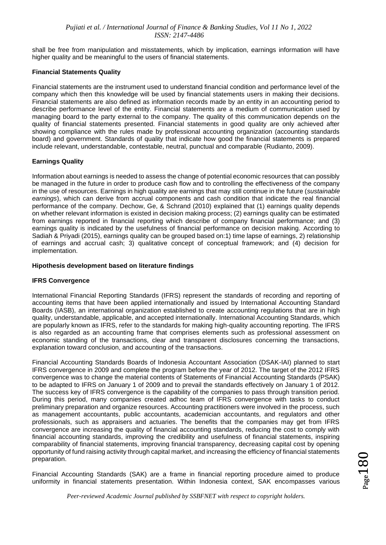shall be free from manipulation and misstatements, which by implication, earnings information will have higher quality and be meaningful to the users of financial statements.

#### **Financial Statements Quality**

Financial statements are the instrument used to understand financial condition and performance level of the company which then this knowledge will be used by financial statements users in making their decisions. Financial statements are also defined as information records made by an entity in an accounting period to describe performance level of the entity. Financial statements are a medium of communication used by managing board to the party external to the company. The quality of this communication depends on the quality of financial statements presented. Financial statements in good quality are only achieved after showing compliance with the rules made by professional accounting organization (accounting standards board) and government. Standards of quality that indicate how good the financial statements is prepared include relevant, understandable, contestable, neutral, punctual and comparable (Rudianto, 2009).

### **Earnings Quality**

Information about earnings is needed to assess the change of potential economic resources that can possibly be managed in the future in order to produce cash flow and to controlling the effectiveness of the company in the use of resources. Earnings in high quality are earnings that may still continue in the future (*sustainable earnings*), which can derive from accrual components and cash condition that indicate the real financial performance of the company. Dechow, Ge, & Schrand (2010) explained that (1) earnings quality depends on whether relevant information is existed in decision making process; (2) earnings quality can be estimated from earnings reported in financial reporting which describe of company financial performance; and (3) earnings quality is indicated by the usefulness of financial performance on decision making. According to Sadiah & Priyadi (2015), earnings quality can be grouped based on:1) time lapse of earnings, 2) relationship of earnings and accrual cash; 3) qualitative concept of conceptual framework; and (4) decision for implementation.

#### **Hipothesis development based on literature findings**

#### **IFRS Convergence**

International Financial Reporting Standards (IFRS) represent the standards of recording and reporting of accounting items that have been applied internationally and issued by International Accounting Standard Boards (IASB), an international organization established to create accounting regulations that are in high quality, understandable, applicable, and accepted internationally. International Accounting Standards, which are popularly known as IFRS, refer to the standards for making high-quality accounting reporting. The IFRS is also regarded as an accounting frame that comprises elements such as professional assessment on economic standing of the transactions, clear and transparent disclosures concerning the transactions, explanation toward conclusion, and accounting of the transactions.

Financial Accounting Standards Boards of Indonesia Accountant Association (DSAK-IAI) planned to start IFRS convergence in 2009 and complete the program before the year of 2012. The target of the 2012 IFRS convergence was to change the material contents of Statements of Financial Accounting Standards (PSAK) to be adapted to IFRS on January 1 of 2009 and to prevail the standards effectively on January 1 of 2012. The success key of IFRS convergence is the capability of the companies to pass through transition period. During this period, many companies created adhoc team of IFRS convergence with tasks to conduct preliminary preparation and organize resources. Accounting practitioners were involved in the process, such as management accountants, public accountants, academician accountants, and regulators and other professionals, such as appraisers and actuaries. The benefits that the companies may get from IFRS convergence are increasing the quality of financial accounting standards, reducing the cost to comply with financial accounting standards, improving the credibility and usefulness of financial statements, inspiring comparability of financial statements, improving financial transparency, decreasing capital cost by opening opportunity of fund raising activity through capital market, and increasing the efficiency of financial statements preparation.

Financial Accounting Standards (SAK) are a frame in financial reporting procedure aimed to produce uniformity in financial statements presentation. Within Indonesia context, SAK encompasses various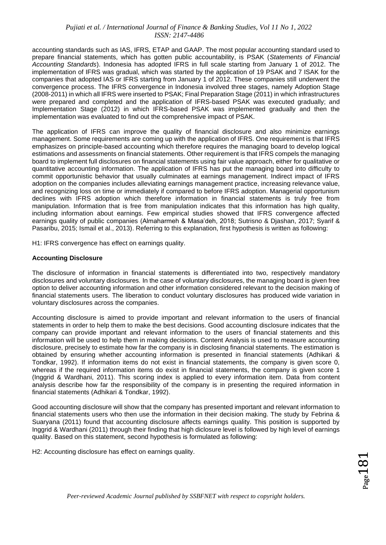accounting standards such as IAS, IFRS, ETAP and GAAP. The most popular accounting standard used to prepare financial statements, which has gotten public accountability, is PSAK (*Statements of Financial Accounting Standards*). Indonesia has adopted IFRS in full scale starting from January 1 of 2012. The implementation of IFRS was gradual, which was started by the application of 19 PSAK and 7 ISAK for the companies that adopted IAS or IFRS starting from January 1 of 2012. These companies still underwent the convergence process. The IFRS convergence in Indonesia involved three stages, namely Adoption Stage (2008-2011) in which all IFRS were inserted to PSAK; Final Preparation Stage (2011) in which infrastructures were prepared and completed and the application of IFRS-based PSAK was executed gradually; and Implementation Stage (2012) in which IFRS-based PSAK was implemented gradually and then the implementation was evaluated to find out the comprehensive impact of PSAK.

The application of IFRS can improve the quality of financial disclosure and also minimize earnings management. Some requirements are coming up with the application of IFRS. One requirement is that IFRS emphasizes on principle-based accounting which therefore requires the managing board to develop logical estimations and assessments on financial statements. Other requirement is that IFRS compels the managing board to implement full disclosures on financial statements using fair value approach, either for qualitative or quantitative accounting information. The application of IFRS has put the managing board into difficulty to commit opportunistic behavior that usually culminates at earnings management. Indirect impact of IFRS adoption on the companies includes alleviating earnings management practice, increasing relevance value, and recognizing loss on time or immediately if compared to before IFRS adoption. Managerial opportunism declines with IFRS adoption which therefore information in financial statements is truly free from manipulation. Information that is free from manipulation indicates that this information has high quality, including information about earnings. Few empirical studies showed that IFRS convergence affected earnings quality of public companies (Almaharmeh & Masa'deh, 2018; Sutrisno & Djashan, 2017; Syarif & Pasaribu, 2015; Ismail et al., 2013). Referring to this explanation, first hypothesis is written as following:

H1: IFRS convergence has effect on earnings quality.

#### **Accounting Disclosure**

The disclosure of information in financial statements is differentiated into two, respectively mandatory disclosures and voluntary disclosures*.* In the case of voluntary disclosures, the managing board is given free option to deliver accounting information and other information considered relevant to the decision making of financial statements users. The liberation to conduct voluntary disclosures has produced wide variation in voluntary disclosures across the companies.

Accounting disclosure is aimed to provide important and relevant information to the users of financial statements in order to help them to make the best decisions. Good accounting disclosure indicates that the company can provide important and relevant information to the users of financial statements and this information will be used to help them in making decisions. Content Analysis is used to measure accounting disclosure, precisely to estimate how far the company is in disclosing financial statements. The estimation is obtained by ensuring whether accounting information is presented in financial statements (Adhikari & Tondkar, 1992). If information items do not exist in financial statements, the company is given score 0, whereas if the required information items do exist in financial statements, the company is given score 1 (Inggrid & Wardhani, 2011). This scoring index is applied to every information item. Data from content analysis describe how far the responsibility of the company is in presenting the required information in financial statements (Adhikari & Tondkar, 1992).

Good accounting disclosure will show that the company has presented important and relevant information to financial statements users who then use the information in their decision making. The study by Febrina & Suaryana (2011) found that accounting disclosure affects earnings quality. This position is supported by Inggrid & Wardhani (2011) through their finding that high diclosure level is followed by high level of earnings quality. Based on this statement, second hypothesis is formulated as following:

H2: Accounting disclosure has effect on earnings quality.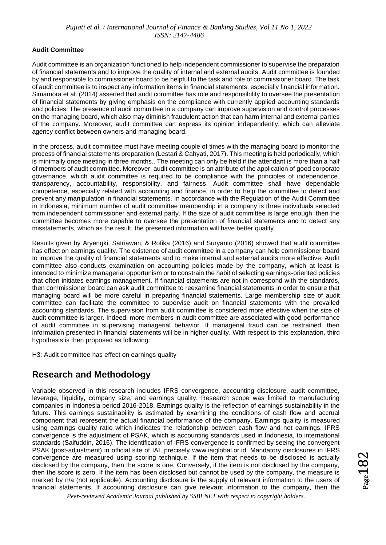### **Audit Committee**

Audit committee is an organization functioned to help independent commissioner to supervise the preparaton of financial statements and to improve the quality of internal and external audits. Audit committee is founded by and responsible to commissioner board to be helpful to the task and role of commissioner board. The task of audit committee is to inspect any information items in financial statements, especially financial information. Simamora et al. (2014) asserted that audit committee has role and responsibility to oversee the presentation of financial statements by giving emphasis on the compliance with currently applied accounting standards and policies. The presence of audit committee in a company can improve supervision and control processes on the managing board, which also may diminish fraudulent action that can harm internal and external parties of the company. Moreover, audit committee can express its opinion independently, which can alleviate agency conflict between owners and managing board.

In the process, audit committee must have meeting couple of times with the managing board to monitor the process of financial statements preparation (Lestari & Cahyati, 2017). This meeting is held periodically, which is minimally once meeting in three months.. The meeting can only be held if the attendant is more than a half of members of audit committee. Moreover, audit committee is an attribute of the application of good corporate governance, which audit committee is required to be compliance with the principles of independence, transparency, accountability, responsibility, and fairness. Audit committee shall have dependable competence, especially related with accounting and finance, in order to help the committee to detect and prevent any manipulation in financial statements. In accordance with the Regulation of the Audit Committee in Indonesia, minimum number of audit committee membership in a company is three individuals selected from independent commissioner and external party. If the size of audit committee is large enough, then the committee becomes more capable to oversee the presentation of financial statements and to detect any misstatements, which as the result, the presented information will have better quality.

Results given by Aryengki, Satriawan, & Rofika (2016) and Suryanto (2016) showed that audit committee has effect on earnings quality. The existence of audit committee in a company can help commissioner board to improve the quality of financial statements and to make internal and external audits more effective. Audit committee also conducts examination on accounting policies made by the company, which at least is intended to minimize managerial opportunism or to constrain the habit of selecting earnings-oriented policies that often initiates earnings management. If financial statements are not in correspond with the standards, then commissioner board can ask audit committee to reexamine financial statements in order to ensure that managing board will be more careful in preparing financial statements. Large membership size of audit committee can facilitate the committee to supervise audit on financial statements with the prevailed accounting standards. The supervision from audit committee is considered more effective when the size of audit committee is larger. Indeed, more members in audit committee are associated with good performance of audit committee in supervising managerial behavior. If managerial fraud can be restrained, then information presented in financial statements will be in higher quality. With respect to this explanation, third hypothesis is then proposed as following:

H3: Audit committee has effect on earnings quality

### **Research and Methodology**

Variable observed in this research includes IFRS convergence, accounting disclosure, audit committee, leverage, liquidity, company size, and earnings quality. Research scope was limited to manufacturing companies in Indonesia period 2016-2018. Earnings quality is the reflection of earnings sustainability in the future. This earnings sustainability is estimated by examining the conditions of cash flow and accrual component that represent the actual financial performance of the company. Earnings quality is measured using earnings quality ratio which indicates the relationship between cash flow and net earnings. IFRS convergence is the adjustment of PSAK, which is accounting standards used in Indonesia, to international standards (Saifuddin, 2016). The identification of IFRS convergence is confirmed by seeing the convergent PSAK (post-adjustment) in official site of IAI, precisely [www.iaiglobal.or.id.](http://www.iaiglobal.or.id/) Mandatory disclosures in IFRS convergence are measured using scoring technique. If the item that needs to be disclosed is actually disclosed by the company, then the score is one. Conversely, if the item is not disclosed by the company, then the score is zero. If the item has been disclosed but cannot be used by the company, the measure is marked by n/a (not applicable). Accounting disclosure is the supply of relevant information to the users of financial statements. If accounting disclosure can give relevant information to the company, then the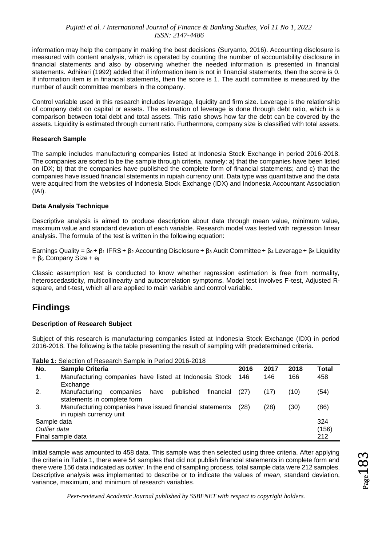information may help the company in making the best decisions (Suryanto, 2016). Accounting disclosure is measured with content analysis, which is operated by counting the number of accountability disclosure in financial statements and also by observing whether the needed information is presented in financial statements. Adhikari (1992) added that if information item is not in financial statements, then the score is 0. If information item is in financial statements, then the score is 1. The audit committee is measured by the number of audit committee members in the company.

Control variable used in this research includes leverage, liquidity and firm size. Leverage is the relationship of company debt on capital or assets. The estimation of leverage is done through debt ratio, which is a comparison between total debt and total assets. This ratio shows how far the debt can be covered by the assets. Liquidity is estimated through current ratio. Furthermore, company size is classified with total assets.

### **Research Sample**

The sample includes manufacturing companies listed at Indonesia Stock Exchange in period 2016-2018. The companies are sorted to be the sample through criteria, namely: a) that the companies have been listed on IDX; b) that the companies have published the complete form of financial statements; and c) that the companies have issued financial statements in rupiah currency unit. Data type was quantitative and the data were acquired from the websites of Indonesia Stock Exchange (IDX) and Indonesia Accountant Association (IAI).

### **Data Analysis Technique**

Descriptive analysis is aimed to produce description about data through mean value, minimum value, maximum value and standard deviation of each variable. Research model was tested with regression linear analysis. The formula of the test is written in the following equation:

Earnings Quality =  $β_0 + β_1$  IFRS +  $β_2$  Accounting Disclosure +  $β_3$  Audit Committee +  $β_4$  Leverage +  $β_5$  Liquidity + β<sup>6</sup> Company Size + e<sup>i</sup>

Classic assumption test is conducted to know whether regression estimation is free from normality, heteroscedasticity, multicollinearity and autocorrelation symptoms. Model test involves F-test, Adjusted Rsquare, and t-test, which all are applied to main variable and control variable.

### **Findings**

### **Description of Research Subject**

Subject of this research is manufacturing companies listed at Indonesia Stock Exchange (IDX) in period 2016-2018. The following is the table presenting the result of sampling with predetermined criteria.

| No.               | <b>Sample Criteria</b>                                       | 2016 | 2017 | 2018 | <b>Total</b> |
|-------------------|--------------------------------------------------------------|------|------|------|--------------|
| 1.                | Manufacturing companies have listed at Indonesia Stock       | 146  | 146  | 166  | 458          |
|                   | Exchange                                                     |      |      |      |              |
| 2.                | published<br>financial<br>Manufacturing<br>companies<br>have | (27) | (17) | (10) | (54)         |
|                   | statements in complete form                                  |      |      |      |              |
| 3.                | Manufacturing companies have issued financial statements     | (28) | (28) | (30) | (86)         |
|                   | in rupiah currency unit                                      |      |      |      |              |
| Sample data       |                                                              |      |      |      | 324          |
| Outlier data      |                                                              |      |      |      | (156)        |
| Final sample data |                                                              |      | 212  |      |              |
|                   |                                                              |      |      |      |              |

**Table 1:** Selection of Research Sample in Period 2016-2018

Initial sample was amounted to 458 data. This sample was then selected using three criteria. After applying the criteria in Table 1, there were 54 samples that did not publish financial statements in complete form and there were 156 data indicated as *outlier*. In the end of sampling process, total sample data were 212 samples. Descriptive analysis was implemented to describe or to indicate the values of *mean*, standard deviation, variance, maximum, and minimum of research variables.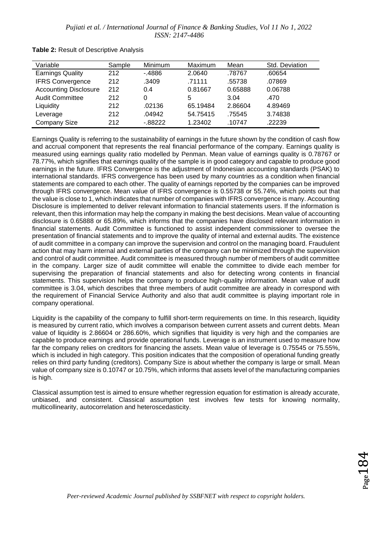| Variable                     | Sample | Minimum    | Maximum  | Mean    | Std. Deviation |
|------------------------------|--------|------------|----------|---------|----------------|
| <b>Earnings Quality</b>      | 212    | - 4886     | 2.0640   | .78767  | .60654         |
| <b>IFRS Convergence</b>      | 212    | .3409      | .71111   | .55738  | .07869         |
| <b>Accounting Disclosure</b> | 212    | 0.4        | 0.81667  | 0.65888 | 0.06788        |
| <b>Audit Committee</b>       | 212    | 0          | 5        | 3.04    | .470           |
| Liquidity                    | 212    | .02136     | 65.19484 | 2.86604 | 4.89469        |
| Leverage                     | 212    | .04942     | 54.75415 | .75545  | 3.74838        |
| <b>Company Size</b>          | 212    | $-0.88222$ | 1.23402  | .10747  | .22239         |

**Table 2:** Result of Descriptive Analysis

Earnings Quality is referring to the sustainability of earnings in the future shown by the condition of cash flow and accrual component that represents the real financial performance of the company. Earnings quality is measured using earnings quality ratio modelled by Penman. Mean value of earnings quality is 0.78767 or 78.77%, which signifies that earnings quality of the sample is in good category and capable to produce good earnings in the future. IFRS Convergence is the adjustment of Indonesian accounting standards (PSAK) to international standards. IFRS convergence has been used by many countries as a condition when financial statements are compared to each other. The quality of earnings reported by the companies can be improved through IFRS convergence. Mean value of IFRS convergence is 0.55738 or 55.74%, which points out that the value is close to 1, which indicates that number of companies with IFRS convergence is many. Accounting Disclosure is implemented to deliver relevant information to financial statements users. If the information is relevant, then this information may help the company in making the best decisions. Mean value of accounting disclosure is 0.65888 or 65.89%, which informs that the companies have disclosed relevant information in financial statements. Audit Committee is functioned to assist independent commissioner to oversee the presentation of financial statements and to improve the quality of internal and external audits. The existence of audit committee in a company can improve the supervision and control on the managing board. Fraudulent action that may harm internal and external parties of the company can be minimized through the supervision and control of audit committee. Audit committee is measured through number of members of audit committee in the company. Larger size of audit committee will enable the committee to divide each member for supervising the preparation of financial statements and also for detecting wrong contents in financial statements. This supervision helps the company to produce high-quality information. Mean value of audit committee is 3.04, which describes that three members of audit committee are already in correspond with the requirement of Financial Service Authority and also that audit committee is playing important role in company operational.

Liquidity is the capability of the company to fulfill short-term requirements on time. In this research, liquidity is measured by current ratio, which involves a comparison between current assets and current debts. Mean value of liquidity is 2.86604 or 286.60%, which signifies that liquidity is very high and the companies are capable to produce earnings and provide operational funds. Leverage is an instrument used to measure how far the company relies on creditors for financing the assets. Mean value of leverage is 0.75545 or 75.55%, which is included in high category. This position indicates that the composition of operational funding greatly relies on third party funding (creditors). Company Size is about whether the company is large or small. Mean value of company size is 0.10747 or 10.75%, which informs that assets level of the manufacturing companies is high.

Classical assumption test is aimed to ensure whether regression equation for estimation is already accurate, unbiased, and consistent. Classical assumption test involves few tests for knowing normality, multicollinearity, autocorrelation and heteroscedasticity.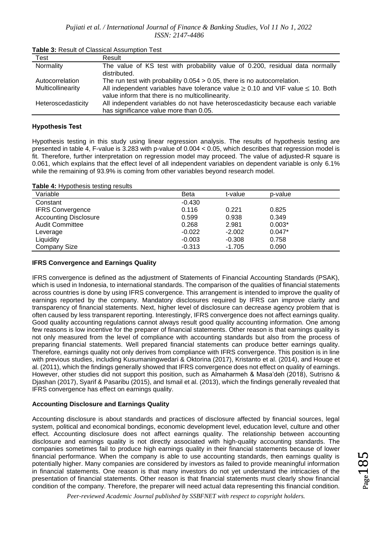| Test               | Result                                                                                                                                        |  |  |  |
|--------------------|-----------------------------------------------------------------------------------------------------------------------------------------------|--|--|--|
| Normality          | The value of KS test with probability value of 0.200, residual data normally<br>distributed.                                                  |  |  |  |
| Autocorrelation    | The run test with probability $0.054 > 0.05$ , there is no autocorrelation.                                                                   |  |  |  |
| Multicollinearity  | All independent variables have tolerance value $\geq 0.10$ and VIF value $\leq 10$ . Both<br>value inform that there is no multicollinearity. |  |  |  |
| Heteroscedasticity | All independent variables do not have heteroscedasticity because each variable                                                                |  |  |  |
|                    | has significance value more than 0.05.                                                                                                        |  |  |  |

**Table 3:** Result of Classical Assumption Test

#### **Hypothesis Test**

Hypothesis testing in this study using linear regression analysis. The results of hypothesis testing are presented in table 4, F-value is 3.283 with p-value of 0.004 < 0.05, which describes that regression model is fit. Therefore, further interpretation on regression model may proceed. The value of adjusted-R square is 0.061, which explains that the effect level of all independent variables on dependent variable is only 6.1% while the remaining of 93.9% is coming from other variables beyond research model.

**Table 4:** Hypothesis testing results

| Variable                     | Beta     | t-value  | p-value  |
|------------------------------|----------|----------|----------|
| Constant                     | $-0.430$ |          |          |
| <b>IFRS Convergence</b>      | 0.116    | 0.221    | 0.825    |
| <b>Accounting Disclosure</b> | 0.599    | 0.938    | 0.349    |
| <b>Audit Committee</b>       | 0.268    | 2.981    | $0.003*$ |
| Leverage                     | $-0.022$ | $-2.002$ | $0.047*$ |
| Liquidity                    | $-0.003$ | $-0.308$ | 0.758    |
| Company Size                 | $-0.313$ | $-1.705$ | 0.090    |

### **IFRS Convergence and Earnings Quality**

IFRS convergence is defined as the adjustment of Statements of Financial Accounting Standards (PSAK), which is used in Indonesia, to international standards. The comparison of the qualities of financial statements across countries is done by using IFRS convergence. This arrangement is intended to improve the quality of earnings reported by the company. Mandatory disclosures required by IFRS can improve clarity and transparency of financial statements. Next, higher level of disclosure can decrease agency problem that is often caused by less transparent reporting. Interestingly, IFRS convergence does not affect earnings quality. Good quality accounting regulations cannot always result good quality accounting information. One among few reasons is low incentive for the preparer of financial statements. Other reason is that earnings quality is not only measured from the level of compliance with accounting standards but also from the process of preparing financial statements. Well prepared financial statements can produce better earnings quality. Therefore, earnings quality not only derives from compliance with IFRS convergence. This position is in line with previous studies, including Kusumaningwedari & Oktorina (2017), Kristanto et al. (2014), and Houqe et al. (2011), which the findings generally showed that IFRS convergence does not effect on quality of earnings. However, other studies did not support this position, such as Almaharmeh & Masa'deh (2018), Sutrisno & Djashan (2017), Syarif & Pasaribu (2015), and Ismail et al. (2013), which the findings generally revealed that IFRS convergence has effect on earnings quality.

### **Accounting Disclosure and Earnings Quality**

Accounting disclosure is about standards and practices of disclosure affected by financial sources, legal system, political and economical bondings, economic development level, education level, culture and other effect. Accounting disclosure does not affect earnings quality. The relationship between accounting disclosure and earnings quality is not directly associated with high-quality accounting standards. The companies sometimes fail to produce high earnings quality in their financial statements because of lower financial performance. When the company is able to use accounting standards, then earnings quality is potentially higher. Many companies are considered by investors as failed to provide meaningful information in financial statements. One reason is that many investors do not yet understand the intricacies of the presentation of financial statements. Other reason is that financial statements must clearly show financial condition of the company. Therefore, the preparer will need actual data representing this financial condition.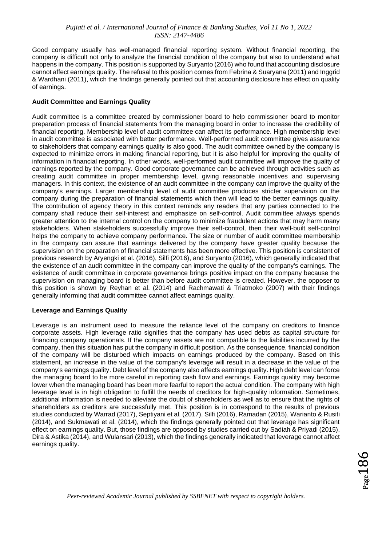Good company usually has well-managed financial reporting system. Without financial reporting, the company is difficult not only to analyze the financial condition of the company but also to understand what happens in the company. This position is supported by Suryanto (2016) who found that accounting disclosure cannot affect earnings quality. The refusal to this position comes from Febrina & Suaryana (2011) and Inggrid & Wardhani (2011), which the findings generally pointed out that accounting disclosure has effect on quality of earnings.

### **Audit Committee and Earnings Quality**

Audit committee is a committee created by commissioner board to help commissioner board to monitor preparation process of financial statements from the managing board in order to increase the credibility of financial reporting. Membership level of audit committee can affect its performance. High membership level in audit committee is associated with better performance. Well-performed audit committee gives assurance to stakeholders that company earnings quality is also good. The audit committee owned by the company is expected to minimize errors in making financial reporting, but it is also helpful for improving the quality of information in financial reporting. In other words, well-performed audit committee will improve the quality of earnings reported by the company. Good corporate governance can be achieved through activities such as creating audit committee in proper membership level, giving reasonable incentives and supervising managers. In this context, the existence of an audit committee in the company can improve the quality of the company's earnings. Larger membership level of audit committee produces stricter supervision on the company during the preparation of financial statements which then will lead to the better earnings quality. The contribution of agency theory in this context reminds any readers that any parties connected to the company shall reduce their self-interest and emphasize on self-control. Audit committee always spends greater attention to the internal control on the company to minimize fraudulent actions that may harm many stakeholders. When stakeholders successfully improve their self-control, then their well-built self-control helps the company to achieve company performance. The size or number of audit committee membership in the company can assure that earnings delivered by the company have greater quality because the supervision on the preparation of financial statements has been more effective. This position is consistent of previous research by Aryengki et al. (2016), Silfi (2016), and Suryanto (2016), which generally indicated that the existence of an audit committee in the company can improve the quality of the company's earnings. The existence of audit committee in corporate governance brings positive impact on the company because the supervision on managing board is better than before audit committee is created. However, the opposer to this position is shown by Reyhan et al. (2014) and Rachmawati & Triatmoko (2007) with their findings generally informing that audit committee cannot affect earnings quality.

### **Leverage and Earnings Quality**

Leverage is an instrument used to measure the reliance level of the company on creditors to finance corporate assets. High leverage ratio signifies that the company has used debts as capital structure for financing company operationals. If the company assets are not compatible to the liabilities incurred by the company, then this situation has put the company in difficult position. As the consequence, financial condition of the company will be disturbed which impacts on earnings produced by the company. Based on this statement, an increase in the value of the company's leverage will result in a decrease in the value of the company's earnings quality. Debt level of the company also affects earnings quality. High debt level can force the managing board to be more careful in reporting cash flow and earnings. Earnings quality may become lower when the managing board has been more fearful to report the actual condition. The company with high leverage level is in high obligation to fulfill the needs of creditors for high-quality information. Sometimes, additional information is needed to alleviate the doubt of shareholders as well as to ensure that the rights of shareholders as creditors are successfully met. This position is in correspond to the results of previous studies conducted by Warrad (2017), Septiyani et al. (2017), Silfi (2016), Ramadan (2015), Warianto & Rusiti (2014), and Sukmawati et al. (2014), which the findings generally pointed out that leverage has significant effect on earnings quality. But, those findings are opposed by studies carried out by Sadiah & Priyadi (2015), Dira & Astika (2014), and Wulansari (2013), which the findings generally indicated that leverage cannot affect earnings quality.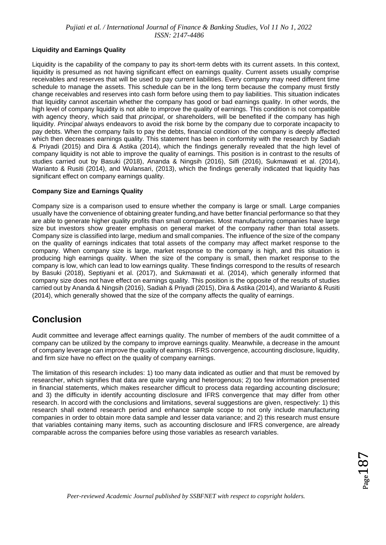### **Liquidity and Earnings Quality**

Liquidity is the capability of the company to pay its short-term debts with its current assets. In this context, liquidity is presumed as not having significant effect on earnings quality. Current assets usually comprise receivables and reserves that will be used to pay current liabilities. Every company may need different time schedule to manage the assets. This schedule can be in the long term because the company must firstly change receivables and reserves into cash form before using them to pay liabilities. This situation indicates that liquidity cannot ascertain whether the company has good or bad earnings quality. In other words, the high level of company liquidity is not able to improve the quality of earnings. This condition is not compatible with agency theory, which said that *principal*, or shareholders, will be benefited if the company has high liquidity. *Principal* always endeavors to avoid the risk borne by the company due to corporate incapacity to pay debts. When the company fails to pay the debts, financial condition of the company is deeply affected which then decreases earnings quality. This statement has been in conformity with the research by Sadiah & Priyadi (2015) and Dira & Astika (2014), which the findings generally revealed that the high level of company liquidity is not able to improve the quality of earnings. This position is in contrast to the results of studies carried out by Basuki (2018), Ananda & Ningsih (2016), Silfi (2016), Sukmawati et al. (2014), Warianto & Rusiti (2014), and Wulansari, (2013), which the findings generally indicated that liquidity has significant effect on company earnings quality.

### **Company Size and Earnings Quality**

Company size is a comparison used to ensure whether the company is large or small. Large companies usually have the convenience of obtaining greater funding,and have better financial performance so that they are able to generate higher quality profits than small companies. Most manufacturing companies have large size but investors show greater emphasis on general market of the company rather than total assets. Company size is classified into large, medium and small companies. The influence of the size of the company on the quality of earnings indicates that total assets of the company may affect market response to the company. When company size is large, market response to the company is high, and this situation is producing high earnings quality. When the size of the company is small, then market response to the company is low, which can lead to low earnings quality. These findings correspond to the results of research by Basuki (2018), Septiyani et al. (2017), and Sukmawati et al. (2014), which generally informed that company size does not have effect on earnings quality. This position is the opposite of the results of studies carried out by Ananda & Ningsih (2016), Sadiah & Priyadi (2015), Dira & Astika (2014), and Warianto & Rusiti (2014), which generally showed that the size of the company affects the quality of earnings.

### **Conclusion**

Audit committee and leverage affect earnings quality. The number of members of the audit committee of a company can be utilized by the company to improve earnings quality. Meanwhile, a decrease in the amount of company leverage can improve the quality of earnings. IFRS convergence, accounting disclosure, liquidity, and firm size have no effect on the quality of company earnings.

The limitation of this research includes: 1) too many data indicated as outlier and that must be removed by researcher, which signifies that data are quite varying and heterogenous; 2) too few information presented in financial statements, which makes researcher difficult to process data regarding accounting disclosure; and 3) the difficulty in identify accounting disclosure and IFRS convergence that may differ from other research. In accord with the conclusions and limitations, several suggestions are given, respectively: 1) this research shall extend research period and enhance sample scope to not only include manufacturing companies in order to obtain more data sample and lesser data variance; and 2) this research must ensure that variables containing many items, such as accounting disclosure and IFRS convergence, are already comparable across the companies before using those variables as research variables.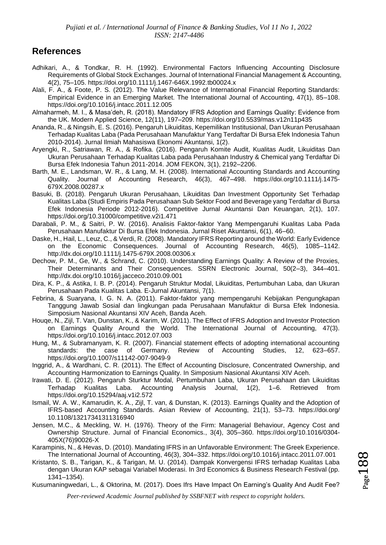### **References**

- Adhikari, A., & Tondkar, R. H. (1992). Environmental Factors Influencing Accounting Disclosure Requirements of Global Stock Exchanges. Journal of International Financial Management & Accounting, 4(2), 75–105. https://doi.org/10.1111/j.1467-646X.1992.tb00024.x
- Alali, F. A., & Foote, P. S. (2012). The Value Relevance of International Financial Reporting Standards: Empirical Evidence in an Emerging Market. The International Journal of Accounting, 47(1), 85–108. https://doi.org/10.1016/j.intacc.2011.12.005
- Almaharmeh, M. I., & Masa'deh, R. (2018). Mandatory IFRS Adoption and Earnings Quality: Evidence from the UK. Modern Applied Science, 12(11), 197–209. https://doi.org/10.5539/mas.v12n11p435
- Ananda, R., & Ningsih, E. S. (2016). Pengaruh Likuiditas, Kepemilikan Institusional, Dan Ukuran Perusahaan Terhadap Kualitas Laba (Pada Perusahaan Manufaktur Yang Terdaftar Di Bursa Efek Indonesia Tahun 2010-2014). Jurnal Ilmiah Mahasiswa Ekonomi Akuntansi, 1(2).
- Aryengki, R., Satriawan, R. A., & Rofika. (2016). Pengaruh Komite Audit, Kualitas Audit, Likuiditas Dan Ukuran Perusahaan Terhadap Kualitas Laba pada Perusahaan Industry & Chemical yang Terdaftar Di Bursa Efek Indonesia Tahun 2011-2014. JOM FEKON, 3(1), 2192–2206.
- Barth, M. E., Landsman, W. R., & Lang, M. H. (2008). International Accounting Standards and Accounting Quality. Journal of Accounting Research, 46(3), 467–498. https://doi.org/10.1111/j.1475- 679X.2008.00287.x
- Basuki, B. (2018). Pengaruh Ukuran Perusahaan, Likuiditas Dan Investment Opportunity Set Terhadap Kualitas Laba (Studi Empiris Pada Perusahaan Sub Sektor Food and Beverage yang Terdaftar di Bursa Efek Indonesia Periode 2012-2016). Competitive Jurnal Akuntansi Dan Keuangan, 2(1), 107. https://doi.org/10.31000/competitive.v2i1.471
- Darabali, P. M., & Saitri, P. W. (2016). Analisis Faktor-faktor Yang Mempengaruhi Kualitas Laba Pada Perusahaan Manufaktur Di Bursa Efek Indonesia. Jurnal Riset Akuntansi, 6(1), 46–60.
- Daske, H., Hail, L., Leuz, C., & Verdi, R. (2008). Mandatory IFRS Reporting around the World: Early Evidence on the Economic Consequences. Journal of Accounting Research, 46(5), 1085–1142. http://dx.doi.org/10.1111/j.1475-679X.2008.00306.x
- Dechow, P. M., Ge, W., & Schrand, C. (2010). Understanding Earnings Quality: A Review of the Proxies, Their Determinants and Their Consequences. SSRN Electronic Journal, 50(2–3), 344–401. http://dx.doi.org/10.1016/j.jacceco.2010.09.001
- Dira, K. P., & Astika, I. B. P. (2014). Pengaruh Struktur Modal, Likuiditas, Pertumbuhan Laba, dan Ukuran Perusahaan Pada Kualitas Laba. E-Jurnal Akuntansi, 7(1).
- Febrina, & Suaryana, I. G. N. A. (2011). Faktor-faktor yang mempengaruhi Kebijakan Pengungkapan Tanggung Jawab Sosial dan lingkungan pada Perusahaan Manufaktur di Bursa Efek Indonesia. Simposium Nasional Akuntansi XIV Aceh, Banda Aceh.
- Houqe, N., Zijl, T. Van, Dunstan, K., & Karim, W. (2011). The Effect of IFRS Adoption and Investor Protection on Earnings Quality Around the World. The International Journal of Accounting, 47(3). https://doi.org/10.1016/j.intacc.2012.07.003
- Hung, M., & Subramanyam, K. R. (2007). Financial statement effects of adopting international accounting standards: the case of Germany. Review of Accounting Studies, 12, 623–657. https://doi.org/10.1007/s11142-007-9049-9
- Inggrid, A., & Wardhani, C. R. (2011). The Effect of Accounting Disclosure, Concentrated Ownership, and Accounting Harmonization to Earnings Quality. In Simposium Nasional Akuntansi XIV Aceh.
- Irawati, D. E. (2012). Pengaruh Sturktur Modal, Pertumbuhan Laba, Ukuran Perusahaan dan Likuiditas Terhadap Kualitas Laba. Accounting Analysis Journal, 1(2), 1–6. Retrieved from https://doi.org/10.15294/aaj.v1i2.572
- Ismail, W. A. W., Kamarudin, K. A., Zijl, T. van, & Dunstan, K. (2013). Earnings Quality and the Adoption of IFRS‐based Accounting Standards. Asian Review of Accounting, 21(1), 53–73. https://doi.org/ 10.1108/13217341311316940
- Jensen, M.C., & Meckling, W. H. (1976). Theory of the Firm: Managerial Behaviour, Agency Cost and Ownership Structure. Jurnal of Financial Economics., 3(4), 305–360. https://doi.org/10.1016/0304- 405X(76)90026-X
- Karampinis, N., & Hevas, D. (2010). Mandating IFRS in an Unfavorable Environment: The Greek Experience. The International Journal of Accounting, 46(3), 304–332. https://doi.org/10.1016/j.intacc.2011.07.001
- Kristanto, S. B., Tarigan, K., & Tarigan, M. U. (2014). Dampak Konvergensi IFRS terhadap Kualitas Laba dengan Ukuran KAP sebagai Variabel Moderasi. In 3rd Economics & Business Research Festival (pp. 1341–1354).
- Kusumaningwedari, L., & Oktorina, M. (2017). Does Ifrs Have Impact On Earning's Quality And Audit Fee?